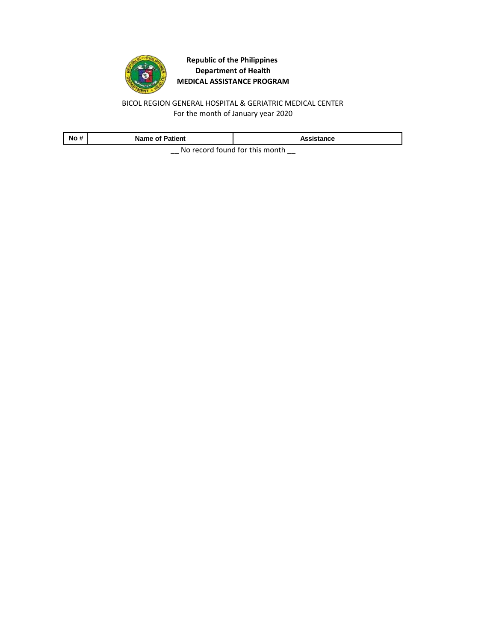

BICOL REGION GENERAL HOSPITAL & GERIATRIC MEDICAL CENTER For the month of January year 2020

| No# | <b>Name of Patient</b> | Assistance                     |
|-----|------------------------|--------------------------------|
|     |                        | No rocard found for this month |

 $\Box$  No record found for this month  $\Box$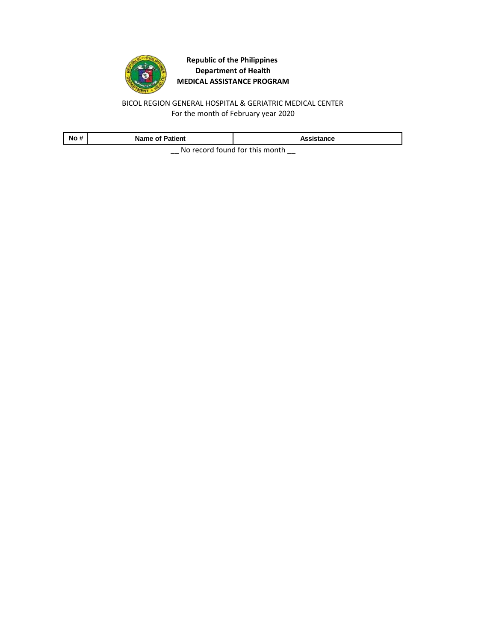

BICOL REGION GENERAL HOSPITAL & GERIATRIC MEDICAL CENTER For the month of February year 2020

| No # | <b>Name of Patient</b> | Assistance                     |
|------|------------------------|--------------------------------|
|      |                        | No rocard found for this month |

 $\Box$  No record found for this month  $\Box$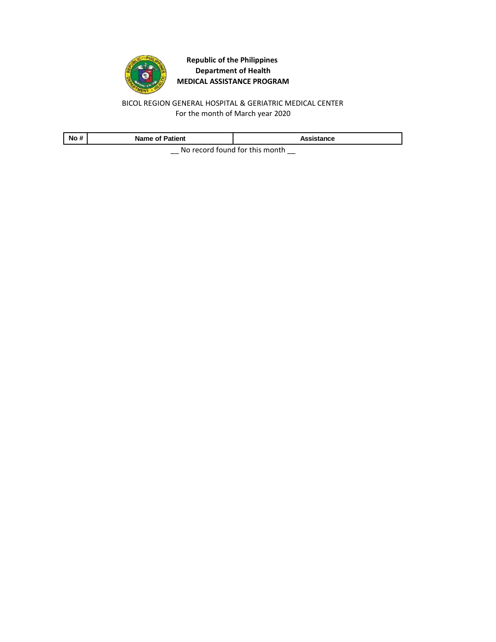

BICOL REGION GENERAL HOSPITAL & GERIATRIC MEDICAL CENTER For the month of March year 2020

| No # | <b>Name of Patient</b> | Assistance                     |
|------|------------------------|--------------------------------|
|      |                        | No record found for this month |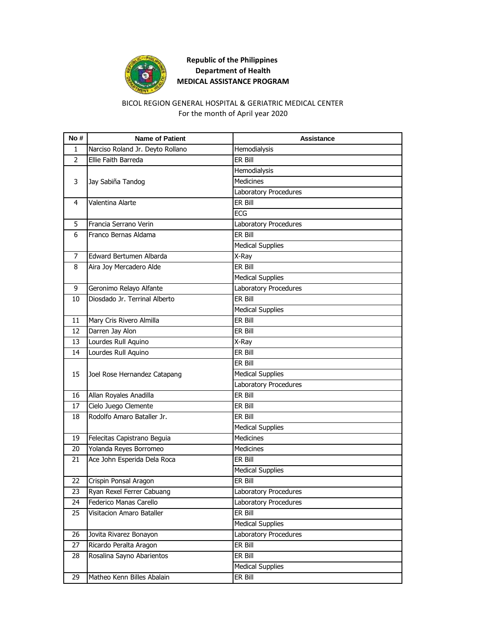

### For the month of April year 2020 BICOL REGION GENERAL HOSPITAL & GERIATRIC MEDICAL CENTER

| No #           | <b>Name of Patient</b>           | <b>Assistance</b>       |
|----------------|----------------------------------|-------------------------|
| 1              | Narciso Roland Jr. Deyto Rollano | Hemodialysis            |
| $\overline{2}$ | Ellie Faith Barreda              | ER Bill                 |
|                |                                  | Hemodialysis            |
| 3              | Jay Sabiña Tandog                | <b>Medicines</b>        |
|                |                                  | Laboratory Procedures   |
| 4              | Valentina Alarte                 | ER Bill                 |
|                |                                  | ECG                     |
| 5              | Francia Serrano Verin            | Laboratory Procedures   |
| 6              | Franco Bernas Aldama             | ER Bill                 |
|                |                                  | <b>Medical Supplies</b> |
| 7              | Edward Bertumen Albarda          | X-Ray                   |
| 8              | Aira Joy Mercadero Alde          | ER Bill                 |
|                |                                  | <b>Medical Supplies</b> |
| 9              | Geronimo Relayo Alfante          | Laboratory Procedures   |
| 10             | Diosdado Jr. Terrinal Alberto    | ER Bill                 |
|                |                                  | <b>Medical Supplies</b> |
| 11             | Mary Cris Rivero Almilla         | ER Bill                 |
| 12             | Darren Jay Alon                  | ER Bill                 |
| 13             | Lourdes Rull Aquino              | X-Ray                   |
| 14             | Lourdes Rull Aquino              | ER Bill                 |
|                |                                  | er Bill                 |
| 15             | Joel Rose Hernandez Catapang     | <b>Medical Supplies</b> |
|                |                                  | Laboratory Procedures   |
| 16             | Allan Royales Anadilla           | ER Bill                 |
| 17             | Cielo Juego Clemente             | ER Bill                 |
| 18             | Rodolfo Amaro Bataller Jr.       | ER Bill                 |
|                |                                  | <b>Medical Supplies</b> |
| 19             | Felecitas Capistrano Beguia      | <b>Medicines</b>        |
| 20             | Yolanda Reyes Borromeo           | <b>Medicines</b>        |
| 21             | Ace John Esperida Dela Roca      | FR Bill                 |
|                |                                  | <b>Medical Supplies</b> |
| 22             | Crispin Ponsal Aragon            | ER Bill                 |
| 23             | Ryan Rexel Ferrer Cabuang        | Laboratory Procedures   |
| 24             | Federico Manas Carello           | Laboratory Procedures   |
| 25             | Visitacion Amaro Bataller        | ER Bill                 |
|                |                                  | <b>Medical Supplies</b> |
| 26             | Jovita Rivarez Bonayon           | Laboratory Procedures   |
| 27             | Ricardo Peralta Aragon           | ER Bill                 |
| 28             | Rosalina Sayno Abarientos        | ER Bill                 |
|                |                                  | <b>Medical Supplies</b> |
| 29             | Matheo Kenn Billes Abalain       | ER Bill                 |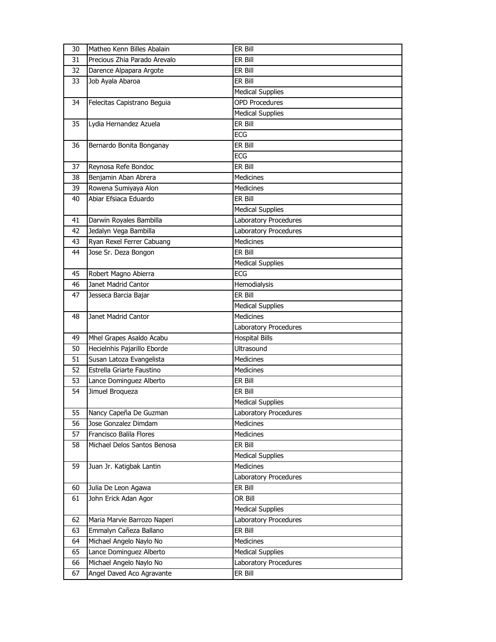| 30       | Matheo Kenn Billes Abalain                           | ER Bill                          |
|----------|------------------------------------------------------|----------------------------------|
| 31       | Precious Zhia Parado Arevalo                         | ER Bill                          |
| 32       | Darence Alpapara Argote                              | ER Bill                          |
| 33       | Job Ayala Abaroa                                     | ER Bill                          |
|          |                                                      | <b>Medical Supplies</b>          |
| 34       | Felecitas Capistrano Beguia                          | <b>OPD Procedures</b>            |
|          |                                                      | <b>Medical Supplies</b>          |
| 35       | Lydia Hernandez Azuela                               | ER Bill                          |
|          |                                                      | FCG                              |
| 36       | Bernardo Bonita Bonganay                             | ER Bill                          |
|          |                                                      | <b>ECG</b>                       |
| 37       | Reynosa Refe Bondoc                                  | ER Bill                          |
| 38       | Benjamin Aban Abrera                                 | <b>Medicines</b>                 |
| 39       | Rowena Sumiyaya Alon                                 | <b>Medicines</b>                 |
| 40       | Abiar Efsiaca Eduardo                                | ER Bill                          |
|          |                                                      | <b>Medical Supplies</b>          |
| 41       | Darwin Royales Bambilla                              | Laboratory Procedures            |
| 42       | Jedalyn Vega Bambilla                                | Laboratory Procedures            |
| 43       | Ryan Rexel Ferrer Cabuang                            | <b>Medicines</b>                 |
| 44       | Jose Sr. Deza Bongon                                 | ER Bill                          |
|          |                                                      | <b>Medical Supplies</b>          |
| 45       | Robert Magno Abierra                                 | <b>ECG</b>                       |
| 46       | Janet Madrid Cantor                                  | Hemodialysis                     |
| 47       | Jesseca Barcia Bajar                                 | ER Bill                          |
|          |                                                      | <b>Medical Supplies</b>          |
|          |                                                      |                                  |
| 48       | Janet Madrid Cantor                                  | <b>Medicines</b>                 |
|          |                                                      | Laboratory Procedures            |
| 49       | Mhel Grapes Asaldo Acabu                             | <b>Hospital Bills</b>            |
| 50       | Hecielnhis Pajarillo Eborde                          | Ultrasound                       |
| 51       | Susan Latoza Evangelista                             | <b>Medicines</b>                 |
| 52       | Estrella Griarte Faustino                            | <b>Medicines</b>                 |
| 53       | Lance Dominguez Alberto                              | ER Bill                          |
| 54       | Jimuel Broqueza                                      | ER Bill                          |
|          |                                                      | <b>Medical Supplies</b>          |
| 55       | Nancy Capeña De Guzman                               | Laboratory Procedures            |
| 56       | Jose Gonzalez Dimdam                                 | <b>Medicines</b>                 |
| 57       | Francisco Balila Flores                              | Medicines                        |
| 58       | Michael Delos Santos Benosa                          | ER Bill                          |
|          |                                                      | <b>Medical Supplies</b>          |
| 59       | Juan Jr. Katigbak Lantin                             | <b>Medicines</b>                 |
|          |                                                      | Laboratory Procedures            |
| 60       | Julia De Leon Agawa                                  | ER Bill                          |
| 61       | John Erick Adan Agor                                 | OR Bill                          |
|          |                                                      | <b>Medical Supplies</b>          |
| 62       | Maria Marvie Barrozo Naperi                          | Laboratory Procedures            |
| 63       | Emmalyn Cañeza Ballano                               | ER Bill                          |
| 64       | Michael Angelo Naylo No                              | Medicines                        |
| 65       | Lance Dominguez Alberto                              | <b>Medical Supplies</b>          |
| 66<br>67 | Michael Angelo Naylo No<br>Angel Daved Aco Agravante | Laboratory Procedures<br>ER Bill |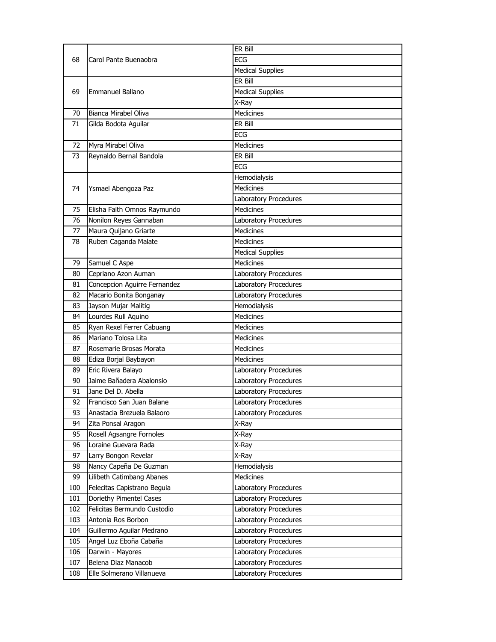|     |                              | ER Bill                 |
|-----|------------------------------|-------------------------|
| 68  | Carol Pante Buenaobra        | ECG                     |
|     |                              | <b>Medical Supplies</b> |
|     |                              | ER Bill                 |
| 69  | Emmanuel Ballano             | <b>Medical Supplies</b> |
|     |                              | X-Ray                   |
| 70  | Bianca Mirabel Oliva         | <b>Medicines</b>        |
| 71  | Gilda Bodota Aguilar         | ER Bill                 |
|     |                              | <b>ECG</b>              |
| 72  | Myra Mirabel Oliva           | Medicines               |
| 73  | Reynaldo Bernal Bandola      | ER Bill                 |
|     |                              | ECG                     |
|     |                              | Hemodialysis            |
| 74  | Ysmael Abengoza Paz          | <b>Medicines</b>        |
|     |                              | Laboratory Procedures   |
| 75  | Elisha Faith Omnos Raymundo  | Medicines               |
| 76  | Nonilon Reyes Gannaban       | Laboratory Procedures   |
| 77  | Maura Quijano Griarte        | <b>Medicines</b>        |
| 78  | Ruben Caganda Malate         | <b>Medicines</b>        |
|     |                              | <b>Medical Supplies</b> |
| 79  | Samuel C Aspe                | <b>Medicines</b>        |
| 80  | Cepriano Azon Auman          | Laboratory Procedures   |
| 81  | Concepcion Aguirre Fernandez | Laboratory Procedures   |
| 82  | Macario Bonita Bonganay      | Laboratory Procedures   |
| 83  | Jayson Mujar Malitig         | Hemodialysis            |
| 84  | Lourdes Rull Aquino          | Medicines               |
| 85  | Ryan Rexel Ferrer Cabuang    | Medicines               |
| 86  | Mariano Tolosa Lita          | <b>Medicines</b>        |
| 87  | Rosemarie Brosas Morata      | <b>Medicines</b>        |
| 88  | Ediza Borjal Baybayon        | Medicines               |
| 89  | Eric Rivera Balayo           | Laboratory Procedures   |
| 90  | Jaime Bañadera Abalonsio     | Laboratory Procedures   |
| 91  | Jane Del D. Abella           | Laboratory Procedures   |
| 92  | Francisco San Juan Balane    | Laboratory Procedures   |
| 93  | Anastacia Brezuela Balaoro   | Laboratory Procedures   |
| 94  | Zita Ponsal Aragon           | X-Ray                   |
| 95  | Rosell Agsangre Fornoles     | X-Ray                   |
| 96  | Loraine Guevara Rada         | X-Ray                   |
| 97  | Larry Bongon Revelar         | X-Ray                   |
| 98  | Nancy Capeña De Guzman       | Hemodialysis            |
| 99  | Lilibeth Catimbang Abanes    | Medicines               |
| 100 | Felecitas Capistrano Beguia  | Laboratory Procedures   |
| 101 | Doriethy Pimentel Cases      | Laboratory Procedures   |
| 102 | Felicitas Bermundo Custodio  | Laboratory Procedures   |
| 103 | Antonia Ros Borbon           | Laboratory Procedures   |
| 104 | Guillermo Aguilar Medrano    | Laboratory Procedures   |
| 105 | Angel Luz Eboña Cabaña       | Laboratory Procedures   |
| 106 | Darwin - Mayores             | Laboratory Procedures   |
| 107 | Belena Diaz Manacob          | Laboratory Procedures   |
| 108 | Elle Solmerano Villanueva    | Laboratory Procedures   |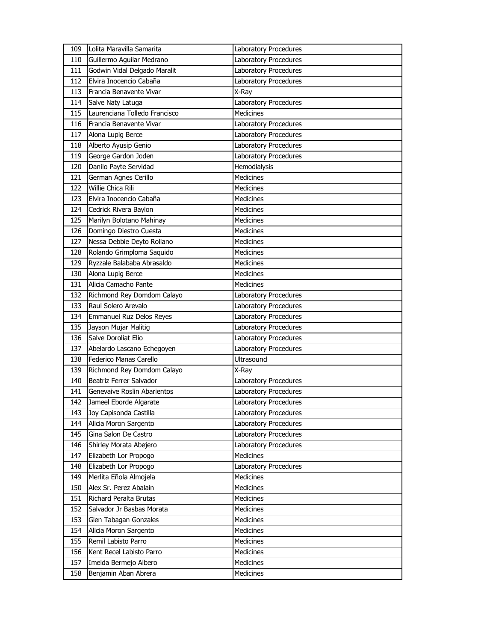| 109 | Lolita Maravilla Samarita     | Laboratory Procedures        |
|-----|-------------------------------|------------------------------|
| 110 | Guillermo Aguilar Medrano     | Laboratory Procedures        |
| 111 | Godwin Vidal Delgado Maralit  | Laboratory Procedures        |
| 112 | Elvira Inocencio Cabaña       | Laboratory Procedures        |
| 113 | Francia Benavente Vivar       | X-Ray                        |
| 114 | Salve Naty Latuga             | Laboratory Procedures        |
| 115 | Laurenciana Tolledo Francisco | <b>Medicines</b>             |
| 116 | Francia Benavente Vivar       | Laboratory Procedures        |
| 117 | Alona Lupig Berce             | <b>Laboratory Procedures</b> |
| 118 | Alberto Ayusip Genio          | Laboratory Procedures        |
| 119 | George Gardon Joden           | <b>Laboratory Procedures</b> |
| 120 | Danilo Payte Servidad         | Hemodialysis                 |
| 121 | German Agnes Cerillo          | Medicines                    |
| 122 | Willie Chica Rili             | <b>Medicines</b>             |
| 123 | Elvira Inocencio Cabaña       | <b>Medicines</b>             |
| 124 | Cedrick Rivera Baylon         | Medicines                    |
| 125 | Marilyn Bolotano Mahinay      | <b>Medicines</b>             |
| 126 | Domingo Diestro Cuesta        | <b>Medicines</b>             |
| 127 | Nessa Debbie Deyto Rollano    | <b>Medicines</b>             |
| 128 | Rolando Grimploma Saquido     | <b>Medicines</b>             |
| 129 | Ryzzale Balababa Abrasaldo    | Medicines                    |
| 130 | Alona Lupig Berce             | Medicines                    |
| 131 | Alicia Camacho Pante          | <b>Medicines</b>             |
| 132 | Richmond Rey Domdom Calayo    | Laboratory Procedures        |
| 133 | Raul Solero Arevalo           | Laboratory Procedures        |
| 134 | Emmanuel Ruz Delos Reyes      | Laboratory Procedures        |
| 135 | Jayson Mujar Malitig          | Laboratory Procedures        |
| 136 | Salve Doroliat Elio           | Laboratory Procedures        |
| 137 | Abelardo Lascano Echegoyen    | Laboratory Procedures        |
| 138 | Federico Manas Carello        | Ultrasound                   |
| 139 | Richmond Rey Domdom Calayo    | X-Ray                        |
| 140 | Beatriz Ferrer Salvador       | Laboratory Procedures        |
| 141 | Genevaive Roslin Abarientos   | Laboratory Procedures        |
| 142 | Jameel Eborde Algarate        | Laboratory Procedures        |
| 143 | Joy Capisonda Castilla        | Laboratory Procedures        |
| 144 | Alicia Moron Sargento         | Laboratory Procedures        |
| 145 | Gina Salon De Castro          | Laboratory Procedures        |
| 146 | Shirley Morata Abejero        | Laboratory Procedures        |
| 147 | Elizabeth Lor Propogo         | Medicines                    |
| 148 | Elizabeth Lor Propogo         | Laboratory Procedures        |
| 149 | Merlita Eñola Almojela        | Medicines                    |
| 150 | Alex Sr. Perez Abalain        | Medicines                    |
| 151 | Richard Peralta Brutas        | Medicines                    |
| 152 | Salvador Jr Basbas Morata     | Medicines                    |
| 153 | Glen Tabagan Gonzales         | Medicines                    |
| 154 | Alicia Moron Sargento         | Medicines                    |
| 155 | Remil Labisto Parro           | Medicines                    |
| 156 | Kent Recel Labisto Parro      | Medicines                    |
| 157 | Imelda Bermejo Albero         | Medicines                    |
| 158 | Benjamin Aban Abrera          | Medicines                    |
|     |                               |                              |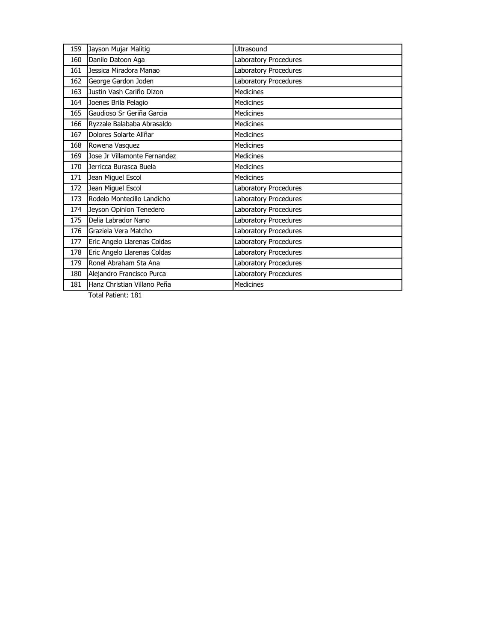| 159 | Jayson Mujar Malitig         | Ultrasound            |
|-----|------------------------------|-----------------------|
| 160 | Danilo Datoon Aga            | Laboratory Procedures |
| 161 | Jessica Miradora Manao       | Laboratory Procedures |
| 162 | George Gardon Joden          | Laboratory Procedures |
| 163 | Justin Vash Cariño Dizon     | <b>Medicines</b>      |
| 164 | Joenes Brila Pelagio         | <b>Medicines</b>      |
| 165 | Gaudioso Sr Geriña Garcia    | <b>Medicines</b>      |
| 166 | Ryzzale Balababa Abrasaldo   | <b>Medicines</b>      |
| 167 | Dolores Solarte Aliñar       | <b>Medicines</b>      |
| 168 | Rowena Vasquez               | Medicines             |
| 169 | Jose Jr Villamonte Fernandez | <b>Medicines</b>      |
| 170 | Jerricca Burasca Buela       | <b>Medicines</b>      |
| 171 | Jean Miguel Escol            | <b>Medicines</b>      |
| 172 | Jean Miguel Escol            | Laboratory Procedures |
| 173 | Rodelo Montecillo Landicho   | Laboratory Procedures |
| 174 | Jeyson Opinion Tenedero      | Laboratory Procedures |
| 175 | Delia Labrador Nano          | Laboratory Procedures |
| 176 | Graziela Vera Matcho         | Laboratory Procedures |
| 177 | Eric Angelo Llarenas Coldas  | Laboratory Procedures |
| 178 | Eric Angelo Llarenas Coldas  | Laboratory Procedures |
| 179 | Ronel Abraham Sta Ana        | Laboratory Procedures |
| 180 | Alejandro Francisco Purca    | Laboratory Procedures |
| 181 | Hanz Christian Villano Peña  | <b>Medicines</b>      |

Total Patient: 181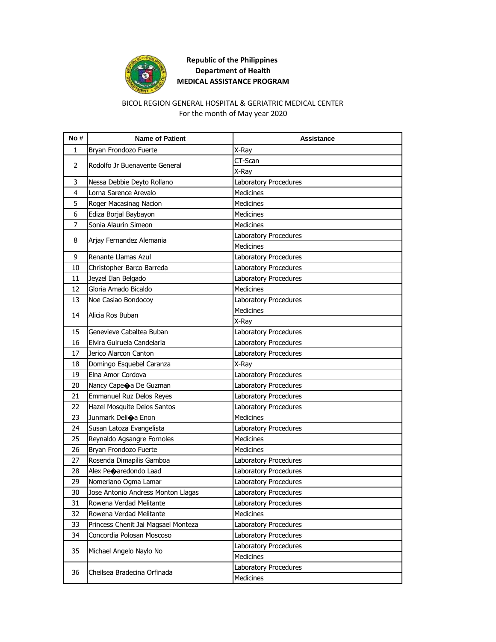

#### For the month of May year 2020 BICOL REGION GENERAL HOSPITAL & GERIATRIC MEDICAL CENTER

| No # | <b>Name of Patient</b>              | <b>Assistance</b>     |
|------|-------------------------------------|-----------------------|
| 1    | Bryan Frondozo Fuerte               | X-Ray                 |
| 2    |                                     | CT-Scan               |
|      | Rodolfo Jr Buenavente General       | X-Ray                 |
| 3    | Nessa Debbie Deyto Rollano          | Laboratory Procedures |
| 4    | Lorna Sarence Arevalo               | <b>Medicines</b>      |
| 5    | Roger Macasinag Nacion              | <b>Medicines</b>      |
| 6    | Ediza Borjal Baybayon               | <b>Medicines</b>      |
| 7    | Sonia Alaurin Simeon                | <b>Medicines</b>      |
|      |                                     | Laboratory Procedures |
| 8    | Arjay Fernandez Alemania            | <b>Medicines</b>      |
| 9    | Renante Llamas Azul                 | Laboratory Procedures |
| 10   | Christopher Barco Barreda           | Laboratory Procedures |
| 11   | Jeyzel Ilan Belgado                 | Laboratory Procedures |
| 12   | Gloria Amado Bicaldo                | <b>Medicines</b>      |
| 13   | Noe Casiao Bondocoy                 | Laboratory Procedures |
|      |                                     | Medicines             |
| 14   | Alicia Ros Buban                    | X-Ray                 |
| 15   | Genevieve Cabaltea Buban            | Laboratory Procedures |
| 16   | Elvira Guiruela Candelaria          | Laboratory Procedures |
| 17   | Jerico Alarcon Canton               | Laboratory Procedures |
| 18   | Domingo Esquebel Caranza            | X-Ray                 |
| 19   | Elna Amor Cordova                   | Laboratory Procedures |
| 20   | Nancy Cape a De Guzman              | Laboratory Procedures |
| 21   | Emmanuel Ruz Delos Reyes            | Laboratory Procedures |
| 22   | Hazel Mosquite Delos Santos         | Laboratory Procedures |
| 23   | Junmark Deli $\bigcirc$ a Enon      | <b>Medicines</b>      |
| 24   | Susan Latoza Evangelista            | Laboratory Procedures |
| 25   | Reynaldo Agsangre Fornoles          | <b>Medicines</b>      |
| 26   | Bryan Frondozo Fuerte               | <b>Medicines</b>      |
| 27   | Rosenda Dimapilis Gamboa            | Laboratory Procedures |
| 28   | Alex Peoaredondo Laad               | Laboratory Procedures |
| 29   | Nomeriano Ogma Lamar                | Laboratory Procedures |
| 30   | Jose Antonio Andress Monton Llagas  | Laboratory Procedures |
| 31   | Rowena Verdad Melitante             | Laboratory Procedures |
| 32   | Rowena Verdad Melitante             | <b>Medicines</b>      |
| 33   | Princess Chenit Jai Magsael Monteza | Laboratory Procedures |
| 34   | Concordia Polosan Moscoso           | Laboratory Procedures |
| 35   |                                     | Laboratory Procedures |
|      | Michael Angelo Naylo No             | Medicines             |
|      | Cheilsea Bradecina Orfinada         | Laboratory Procedures |
| 36   |                                     | Medicines             |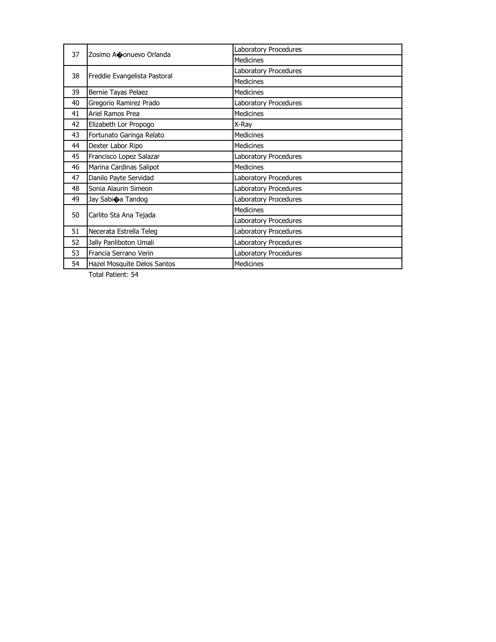| 37 | Zosimo A�onuevo Orlanda      | Laboratory Procedures |
|----|------------------------------|-----------------------|
|    |                              | <b>Medicines</b>      |
| 38 |                              | Laboratory Procedures |
|    | Freddie Evangelista Pastoral | <b>Medicines</b>      |
| 39 | Bernie Tayas Pelaez          | <b>Medicines</b>      |
| 40 | Gregorio Ramirez Prado       | Laboratory Procedures |
| 41 | Ariel Ramos Prea             | <b>Medicines</b>      |
| 42 | Elizabeth Lor Propogo        | X-Ray                 |
| 43 | Fortunato Garinga Relato     | <b>Medicines</b>      |
| 44 | Dexter Labor Ripo            | <b>Medicines</b>      |
| 45 | Francisco Lopez Salazar      | Laboratory Procedures |
| 46 | Marina Cardinas Salipot      | <b>Medicines</b>      |
| 47 | Danilo Payte Servidad        | Laboratory Procedures |
| 48 | Sonia Alaurin Simeon         | Laboratory Procedures |
| 49 | Jay Sabi�a Tandog            | Laboratory Procedures |
| 50 | Carlito Sta Ana Tejada       | <b>Medicines</b>      |
|    |                              | Laboratory Procedures |
| 51 | Necerata Estrella Teleg      | Laboratory Procedures |
| 52 | Jally Panliboton Umali       | Laboratory Procedures |
| 53 | Francia Serrano Verin        | Laboratory Procedures |
| 54 | Hazel Mosquite Delos Santos  | <b>Medicines</b>      |

Total Patient: 54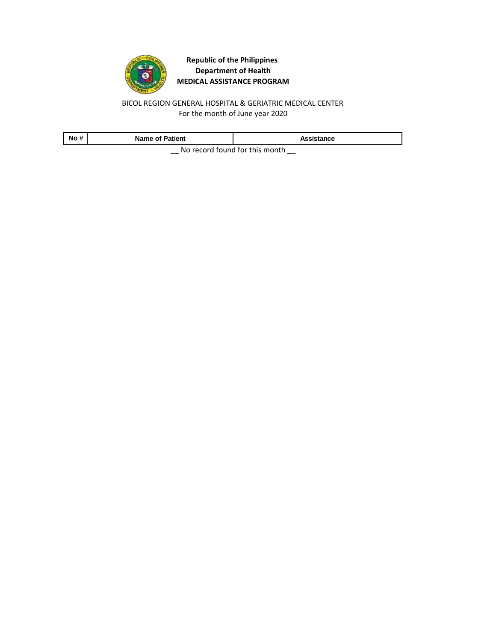

BICOL REGION GENERAL HOSPITAL & GERIATRIC MEDICAL CENTER For the month of June year 2020

| No # | <b>Name of Patient</b> | Assistance                     |
|------|------------------------|--------------------------------|
|      |                        | No record found for this month |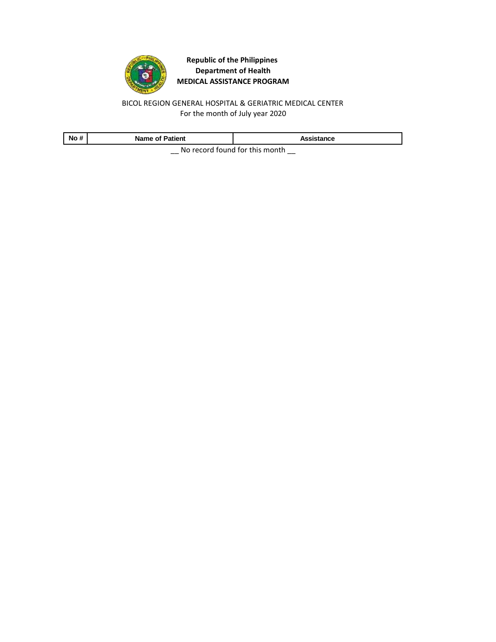

BICOL REGION GENERAL HOSPITAL & GERIATRIC MEDICAL CENTER For the month of July year 2020

| No # | <b>Name of Patient</b> | Assistance                     |
|------|------------------------|--------------------------------|
|      |                        | No record found for this month |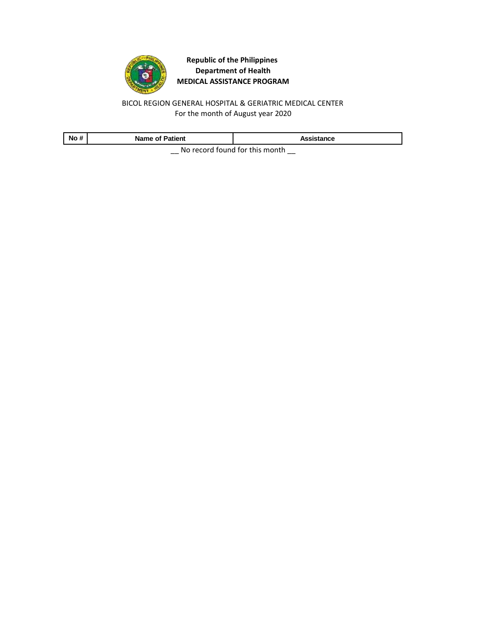

BICOL REGION GENERAL HOSPITAL & GERIATRIC MEDICAL CENTER For the month of August year 2020

| No # | <b>Name of Patient</b> | Assistance                     |
|------|------------------------|--------------------------------|
|      |                        | No record found for this month |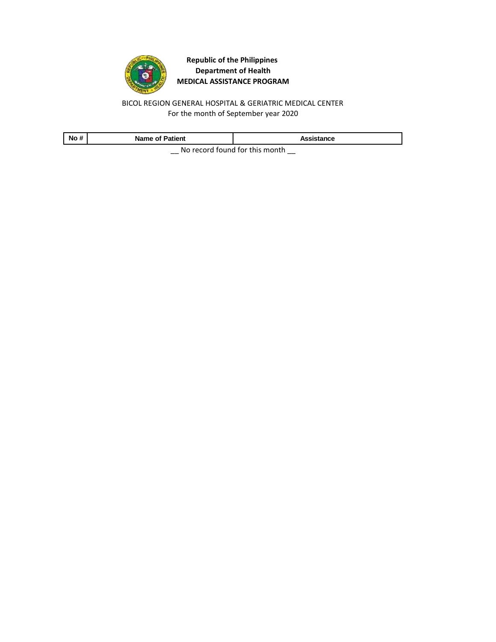

BICOL REGION GENERAL HOSPITAL & GERIATRIC MEDICAL CENTER For the month of September year 2020

| No # | <b>Name of Patient</b> | Assistance                     |
|------|------------------------|--------------------------------|
|      |                        | No record found for this month |